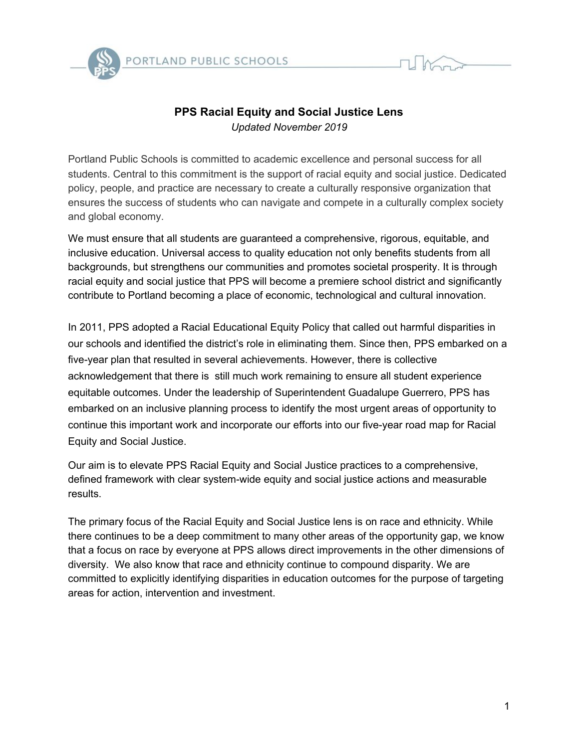

## **PPS Racial Equity and Social Justice Lens** *Updated November 2019*

Portland Public Schools is committed to academic excellence and personal success for all students. Central to this commitment is the support of racial equity and social justice. Dedicated policy, people, and practice are necessary to create a culturally responsive organization that ensures the success of students who can navigate and compete in a culturally complex society and global economy.

We must ensure that all students are guaranteed a comprehensive, rigorous, equitable, and inclusive education. Universal access to quality education not only benefits students from all backgrounds, but strengthens our communities and promotes societal prosperity. It is through racial equity and social justice that PPS will become a premiere school district and significantly contribute to Portland becoming a place of economic, technological and cultural innovation.

In 2011, PPS adopted a Racial Educational Equity Policy that called out harmful disparities in our schools and identified the district's role in eliminating them. Since then, PPS embarked on a five-year plan that resulted in several achievements. However, there is collective acknowledgement that there is still much work remaining to ensure all student experience equitable outcomes. Under the leadership of Superintendent Guadalupe Guerrero, PPS has embarked on an inclusive planning process to identify the most urgent areas of opportunity to continue this important work and incorporate our efforts into our five-year road map for Racial Equity and Social Justice.

Our aim is to elevate PPS Racial Equity and Social Justice practices to a comprehensive, defined framework with clear system-wide equity and social justice actions and measurable results.

The primary focus of the Racial Equity and Social Justice lens is on race and ethnicity. While there continues to be a deep commitment to many other areas of the opportunity gap, we know that a focus on race by everyone at PPS allows direct improvements in the other dimensions of diversity. We also know that race and ethnicity continue to compound disparity. We are committed to explicitly identifying disparities in education outcomes for the purpose of targeting areas for action, intervention and investment.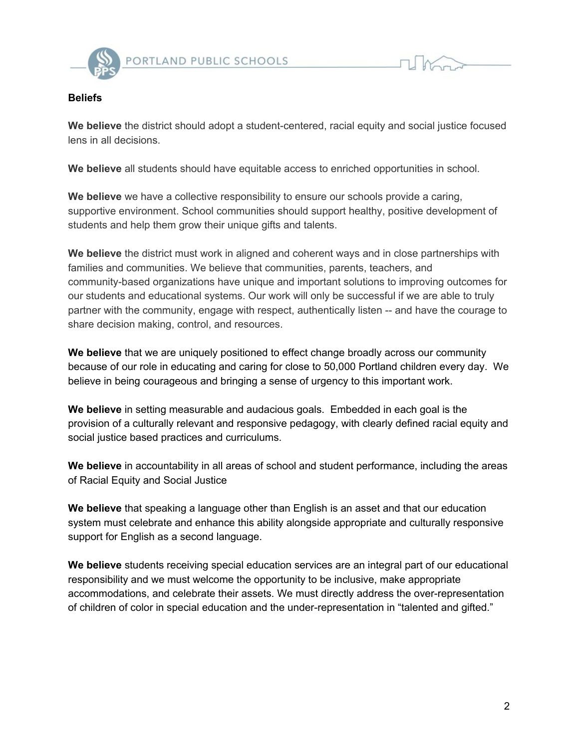

## **Beliefs**

**We believe** the district should adopt a student-centered, racial equity and social justice focused lens in all decisions.

**We believe** all students should have equitable access to enriched opportunities in school.

**We believe** we have a collective responsibility to ensure our schools provide a caring, supportive environment. School communities should support healthy, positive development of students and help them grow their unique gifts and talents.

**We believe** the district must work in aligned and coherent ways and in close partnerships with families and communities. We believe that communities, parents, teachers, and community-based organizations have unique and important solutions to improving outcomes for our students and educational systems. Our work will only be successful if we are able to truly partner with the community, engage with respect, authentically listen -- and have the courage to share decision making, control, and resources.

**We believe** that we are uniquely positioned to effect change broadly across our community because of our role in educating and caring for close to 50,000 Portland children every day. We believe in being courageous and bringing a sense of urgency to this important work.

**We believe** in setting measurable and audacious goals. Embedded in each goal is the provision of a culturally relevant and responsive pedagogy, with clearly defined racial equity and social justice based practices and curriculums.

**We believe** in accountability in all areas of school and student performance, including the areas of Racial Equity and Social Justice

**We believe** that speaking a language other than English is an asset and that our education system must celebrate and enhance this ability alongside appropriate and culturally responsive support for English as a second language.

**We believe** students receiving special education services are an integral part of our educational responsibility and we must welcome the opportunity to be inclusive, make appropriate accommodations, and celebrate their assets. We must directly address the over-representation of children of color in special education and the under-representation in "talented and gifted."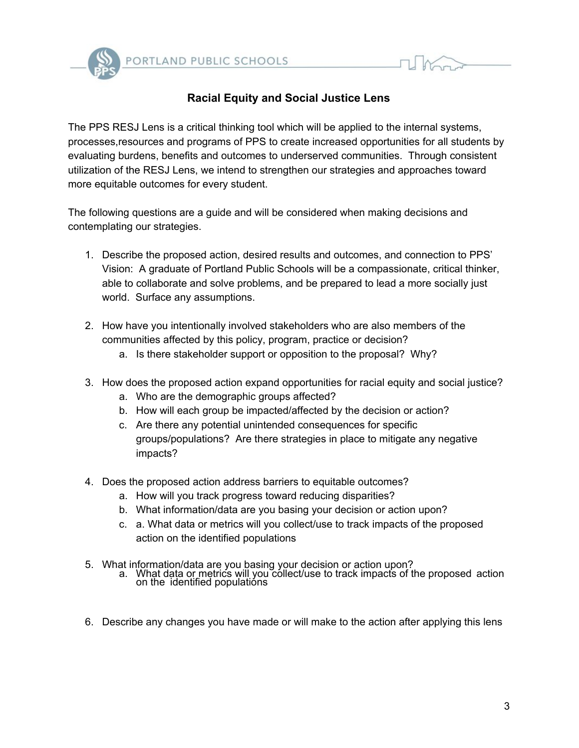

## **Racial Equity and Social Justice Lens**

The PPS RESJ Lens is a critical thinking tool which will be applied to the internal systems, processes,resources and programs of PPS to create increased opportunities for all students by evaluating burdens, benefits and outcomes to underserved communities. Through consistent utilization of the RESJ Lens, we intend to strengthen our strategies and approaches toward more equitable outcomes for every student.

The following questions are a guide and will be considered when making decisions and contemplating our strategies.

- 1. Describe the proposed action, desired results and outcomes, and connection to PPS' Vision: A graduate of Portland Public Schools will be a compassionate, critical thinker, able to collaborate and solve problems, and be prepared to lead a more socially just world. Surface any assumptions.
- 2. How have you intentionally involved stakeholders who are also members of the communities affected by this policy, program, practice or decision?
	- a. Is there stakeholder support or opposition to the proposal? Why?
- 3. How does the proposed action expand opportunities for racial equity and social justice?
	- a. Who are the demographic groups affected?
	- b. How will each group be impacted/affected by the decision or action?
	- c. Are there any potential unintended consequences for specific groups/populations? Are there strategies in place to mitigate any negative impacts?
- 4. Does the proposed action address barriers to equitable outcomes?
	- a. How will you track progress toward reducing disparities?
	- b. What information/data are you basing your decision or action upon?
	- c. a. What data or metrics will you collect/use to track impacts of the proposed action on the identified populations
- 5. What information/data are you basing your decision or action upon?
	- a. What data or metrics will you collect/use to track impacts of the proposed action on the identified populations
- 6. Describe any changes you have made or will make to the action after applying this lens